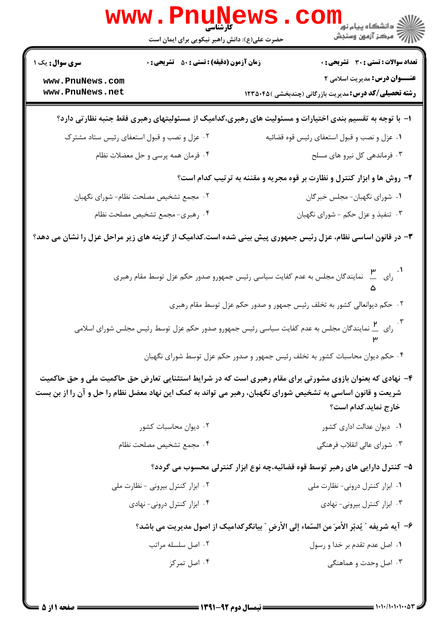|                                    | حضرت علی(ع): دانش راهبر نیکویی برای ایمان است                                                          | ڪ دانشڪاه پيام نور ■<br>// مرکز آزمون وسنڊش                                                                                                                                                                                                    |  |  |  |
|------------------------------------|--------------------------------------------------------------------------------------------------------|------------------------------------------------------------------------------------------------------------------------------------------------------------------------------------------------------------------------------------------------|--|--|--|
| <b>سری سوال :</b> یک ۱             | <b>زمان آزمون (دقیقه) : تستی : 50 ٪ تشریحی : 0</b>                                                     | <b>تعداد سوالات : تستی : 30 ٪ تشریحی : 0</b>                                                                                                                                                                                                   |  |  |  |
| www.PnuNews.com<br>www.PnuNews.net |                                                                                                        | <b>عنـــوان درس:</b> مدیریت اسلامی ۲<br><b>رشته تحصیلی/کد درس:</b> مدیریت بازرگانی (چندبخشی )۱۲۳۵۰۴۵                                                                                                                                           |  |  |  |
|                                    | ا– با توجه به تقسیم بندی اختیارات و مسئولیت های رهبری،کدامیک از مسئولیتهای رهبری فقط جنبه نظارتی دارد؟ |                                                                                                                                                                                                                                                |  |  |  |
|                                    | ۰۲ عزل و نصب و قبول استعفای رئیس ستاد مشترک                                                            | ۰۱ عزل و نصب و قبول استعفاي رئيس قوه قضائيه                                                                                                                                                                                                    |  |  |  |
|                                    | ۰۴ فرمان همه پرسی و حل معضلات نظام                                                                     | ۰۳ فرماندهی کل نیرو های مسلح                                                                                                                                                                                                                   |  |  |  |
|                                    |                                                                                                        | ۲- روش ها و ابزار کنترل و نظارت بر قوه مجریه و مقننه به ترتیب کدام است؟                                                                                                                                                                        |  |  |  |
|                                    | ۰۲ مجمع تشخیص مصلحت نظام- شورای نگهبان                                                                 | ١. شورای نگهبان- مجلس خبرگان                                                                                                                                                                                                                   |  |  |  |
|                                    | ۰۴ رهبری- مجمع تشخیص مصلحت نظام                                                                        | ۰۳ تنفیذ و عزل حکم - شورای نگهبان                                                                                                                                                                                                              |  |  |  |
|                                    |                                                                                                        | ۳- در قانون اساسی نظام، عزل رئیس جمهوری پیش بینی شده است.کدامیک از گزینه های زیر مراحل عزل را نشان می دهد؟                                                                                                                                     |  |  |  |
|                                    |                                                                                                        | ۰۱ مسمع است کرد کرد.<br>در ای در سایندگان مجلس به عدم کفایت سیاسی رئیس جمهورو صدور حکم عزل توسط مقام رهبری                                                                                                                                     |  |  |  |
|                                    |                                                                                                        | ۰۲ حکم دیوانعالی کشور به تخلف رئیس جمهور و صدور حکم عزل توسط مقام رهبری                                                                                                                                                                        |  |  |  |
|                                    |                                                                                                        | ۰۳ .<br>رای ه__ نمایندگان مجلس به عدم کفایت سیاسی رئیس جمهورو صدور حکم عزل توسط رئیس مجلس شورای اسلامی                                                                                                                                         |  |  |  |
|                                    |                                                                                                        | ۰۴ حکم دیوان محاسبات کشور به تخلف رئیس جمهور و صدور حکم عزل توسط شورای نگهبان                                                                                                                                                                  |  |  |  |
|                                    |                                                                                                        | ۴- نهادی که بعنوان بازوی مشورتی برای مقام رهبری است که در شرایط استثنایی تعارض حق حاکمیت ملی و حق حاکمیت<br>شریعت و قانون اساسی به تشخیص شورای نگهبان، رهبر می تواند به کمک این نهاد معضل نظام را حل و آن را از بن بست<br>خارج نماید.کدام است؟ |  |  |  |
|                                    | ۰۲ دیوان محاسبات کشور                                                                                  | ۰۱ دیوان عدالت اداری کشور                                                                                                                                                                                                                      |  |  |  |
|                                    | ۰۴ مجمع تشخيص مصلحت نظام                                                                               | ۰۳ شورای عالی انقلاب فرهنگی                                                                                                                                                                                                                    |  |  |  |
|                                    |                                                                                                        | ۵– کنترل دارایی های رهبر توسط قوه قضائیه،چه نوع ابزار کنترلی محسوب می گردد؟                                                                                                                                                                    |  |  |  |
|                                    | ۰۲ ابزار کنترل بیرونی - نظارت ملی                                                                      | ۰۱ ابزار کنترل درونی- نظارت ملی                                                                                                                                                                                                                |  |  |  |
|                                    | ۰۴ ابزار کنترل درونی- نهادی                                                                            | ۰۳ ابزار کنترل بیرونی- نهادی                                                                                                                                                                                                                   |  |  |  |
|                                    |                                                                                                        | ۶–  آيه شريفه ″ يُدبّر الأمرَ من السّماء إلى الأرضِ ″ بيانگركداميک از اصول مديريت مي باشد؟                                                                                                                                                     |  |  |  |
|                                    | ۰۲ اصل سلسله مراتب                                                                                     | ۰۱ اصل عدم تقدم بر خدا و رسول                                                                                                                                                                                                                  |  |  |  |
|                                    | ۰۴ اصل تمرکز                                                                                           | ۰۳ اصل وحدت و هماهنگی                                                                                                                                                                                                                          |  |  |  |
|                                    |                                                                                                        |                                                                                                                                                                                                                                                |  |  |  |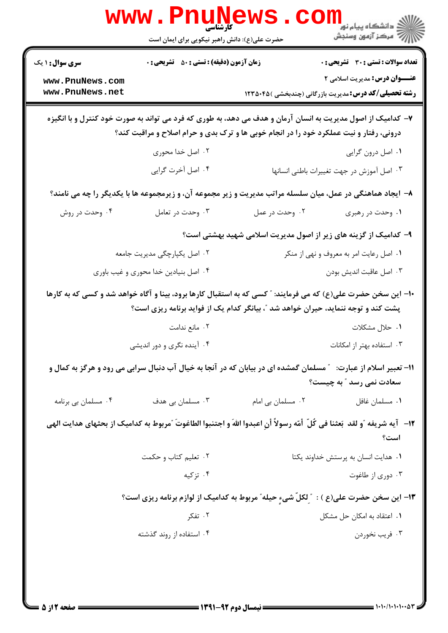|                                           | WWW . F<br>کارشناسی<br>حضرت علی(ع): دانش راهبر نیکویی برای ایمان است                                                                                                                                  |                   | ڪ دانشڪاه پيام نور "<br>۾ مرڪز آزمون وسنڊش                                                                                            |
|-------------------------------------------|-------------------------------------------------------------------------------------------------------------------------------------------------------------------------------------------------------|-------------------|---------------------------------------------------------------------------------------------------------------------------------------|
| <b>سری سوال : ۱ یک</b><br>www.PnuNews.com | زمان آزمون (دقیقه) : تستی : ۵۰٪ تشریحی : ۰                                                                                                                                                            |                   | <b>تعداد سوالات : تستی : 30 ٪ تشریحی : 0</b><br><b>عنـــوان درس:</b> مدیریت اسلامی ۲                                                  |
| www.PnuNews.net                           |                                                                                                                                                                                                       |                   | <b>رشته تحصیلی/کد درس:</b> مدیریت بازرگانی (چندبخشی )۱۲۳۵۰۴۵                                                                          |
|                                           | ۷– کدامیک از اصول مدیریت به انسان آرمان و هدف می دهد، به طوری که فرد می تواند به صورت خود کنترل و با انگیزه<br>درونی، رفتار و نیت عملکرد خود را در انجام خوبی ها و ترک بدی و حرام اصلاح و مراقبت کند؟ |                   |                                                                                                                                       |
|                                           | ۰۲ اصل خدا محوری                                                                                                                                                                                      |                   | ۰۱ اصل درون گرایی                                                                                                                     |
|                                           | ۰۴ اصل آخرت گرایی                                                                                                                                                                                     |                   | ٠٣ اصل آموزش در جهت تغييرات باطني انسانها                                                                                             |
|                                           | ۸– ایجاد هماهنگی در عمل، میان سلسله مراتب مدیریت و زیر مجموعه آن، و زیرمجموعه ها با یکدیگر را چه می نامند؟                                                                                            |                   |                                                                                                                                       |
| ۰۴ وحدت در روش                            | ۰۳ وحدت در تعامل                                                                                                                                                                                      | ۰۲ وحدت در عمل    | ۰۱ وحدت در رهبری                                                                                                                      |
|                                           |                                                                                                                                                                                                       |                   | ۹- کدامیک از گزینه های زیر از اصول مدیریت اسلامی شهید بهشتی است؟                                                                      |
|                                           | ۰۲ اصل یکپارچگی مدیریت جامعه                                                                                                                                                                          |                   | ۰۱ اصل رعایت امر به معروف و نهی از منکر                                                                                               |
|                                           | ۰۴ اصل بنیادین خدا محوری و غیب باوری                                                                                                                                                                  |                   | ۰۳ اصل عاقبت انديش بودن                                                                                                               |
|                                           | پشت کند و توجه ننماید، حیران خواهد شد "، بیانگر کدام یک از فواید برنامه ریزی است؟                                                                                                                     |                   | ۱۰- این سخن حضرت علی(ع) که می فرمایند: ″ کسی که به استقبال کارها برود، بینا و آگاه خواهد شد و کسی که به کارها                         |
|                                           | ۰۲ مانع ندامت                                                                                                                                                                                         |                   | ۰۱ حلال مشکلات                                                                                                                        |
|                                           | ۰۴ آینده نگری و دور اندیشی                                                                                                                                                                            |                   | ۰۳ استفاده بهتر از امکانات                                                                                                            |
|                                           | 11- تعبیر اسلام از عبارت: ٪ مسلمان گمشده ای در بیابان که در آنجا به خیال آب دنبال سرابی می رود و هرگز به کمال و                                                                                       |                   | سعادت نمی رسد ″ به چیست؟                                                                                                              |
| ۰۴ مسلمان بی برنامه                       | ۰۳ مسلمان بی هدف                                                                                                                                                                                      | ۰۲ مسلمان بی امام | ٠١ مسلمان غافل                                                                                                                        |
|                                           |                                                                                                                                                                                                       |                   | ١٢−   آيه شريفه ″و لقد  بَعثنا في كُلّ  أمّه رسولاً أنِ اعبدوا اللهَ و اجتنبوا الطاغوتَ ″مربوط به كداميك از بحثهاى هدايت الهي<br>است؟ |
|                                           | ۰۲ تعلیم کتاب و حکمت                                                                                                                                                                                  |                   | ۰۱ هدایت انسان به پرستش خداوند یکتا                                                                                                   |
|                                           | ۰۴ تزکیه                                                                                                                                                                                              |                   | ۰۳ دوري از طاغوت                                                                                                                      |
|                                           |                                                                                                                                                                                                       |                   | ۱۳- این سخن حضرت علی(ع ) : ″ ِلکلّ شیءٍ حیله″ مربوط به کدامیک از لوازم برنامه ریزی است؟                                               |
|                                           | ۰۲ تفکر                                                                                                                                                                                               |                   | ۰۱ اعتقاد به امکان حل مشکل                                                                                                            |
|                                           | ۰۴ استفاده از روند گذشته                                                                                                                                                                              |                   | ۰۳ فريب نخوردن                                                                                                                        |
|                                           |                                                                                                                                                                                                       |                   |                                                                                                                                       |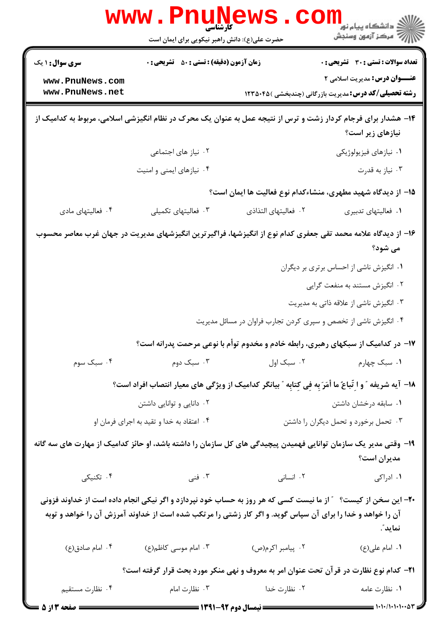|                                                                                                                                                                                                                                         | <b>WWW.PNUNews</b><br>حضرت علی(ع): دانش راهبر نیکویی برای ایمان است |                                               | ڪ دانشڪاه پيا <sub>م</sub> نور<br><mark>√</mark> مرڪز آزمون وسنڊش                                                                                                                                                                                                                                                                                                                                                     |  |
|-----------------------------------------------------------------------------------------------------------------------------------------------------------------------------------------------------------------------------------------|---------------------------------------------------------------------|-----------------------------------------------|-----------------------------------------------------------------------------------------------------------------------------------------------------------------------------------------------------------------------------------------------------------------------------------------------------------------------------------------------------------------------------------------------------------------------|--|
| <b>سری سوال : ۱ یک</b>                                                                                                                                                                                                                  | <b>زمان آزمون (دقیقه) : تستی : 50 ٪ تشریحی : 0</b>                  |                                               | <b>تعداد سوالات : تستی : 30 ٪ تشریحی : 0</b>                                                                                                                                                                                                                                                                                                                                                                          |  |
| www.PnuNews.com<br>www.PnuNews.net                                                                                                                                                                                                      |                                                                     |                                               | <b>عنـــوان درس:</b> مدیریت اسلامی ۲<br><b>رشته تحصیلی/کد درس:</b> مدیریت بازرگانی (چندبخشی )۲۳۵۰۴۵ (                                                                                                                                                                                                                                                                                                                 |  |
| ۱۴– هشدار برای فرجام کردار زشت و ترس از نتیجه عمل به عنوان یک محرک در نظام انگیزشی اسلامی، مربوط به کدامیک از                                                                                                                           |                                                                     |                                               | نیازهای زیر است؟                                                                                                                                                                                                                                                                                                                                                                                                      |  |
|                                                                                                                                                                                                                                         | ۰۲ نیاز های اجتماعی                                                 |                                               | ۰۱ نیازهای فیزیولوژیکی                                                                                                                                                                                                                                                                                                                                                                                                |  |
|                                                                                                                                                                                                                                         | ۰۴ نیازهای ایمنی و امنیت                                            |                                               | ۰۳ نیاز به قدرت                                                                                                                                                                                                                                                                                                                                                                                                       |  |
|                                                                                                                                                                                                                                         |                                                                     |                                               | ۱۵– از دیدگاه شهید مطهری، منشاءکدام نوع فعالیت ها ایمان است؟                                                                                                                                                                                                                                                                                                                                                          |  |
| ۰۴ فعالیتهای مادی                                                                                                                                                                                                                       | ۰۳ فعالیتهای تکمیلی                                                 | ٢. فعاليتهاى التذاذي                          | ٠١ فعاليتهاى تدبيرى                                                                                                                                                                                                                                                                                                                                                                                                   |  |
| ۱۶– از دیدگاه علامه محمد تقی جعفری کدام نوع از انگیزشها، فراگیر ترین انگیزشهای مدیریت در جهان غرب معاصر محسوب<br>می شود؟                                                                                                                |                                                                     |                                               |                                                                                                                                                                                                                                                                                                                                                                                                                       |  |
|                                                                                                                                                                                                                                         |                                                                     |                                               | ۰۱ انگیزش ناشی از احساس برتری بر دیگران                                                                                                                                                                                                                                                                                                                                                                               |  |
|                                                                                                                                                                                                                                         |                                                                     |                                               | ۰۲ انگیزش مستند به منفعت گرایی                                                                                                                                                                                                                                                                                                                                                                                        |  |
|                                                                                                                                                                                                                                         |                                                                     |                                               | ۰۳ انگیزش ناشی از علاقه ذاتی به مدیریت                                                                                                                                                                                                                                                                                                                                                                                |  |
|                                                                                                                                                                                                                                         |                                                                     |                                               | ۰۴ انگیزش ناشی از تخصص و سپری کردن تجارب فراوان در مسائل مدیریت                                                                                                                                                                                                                                                                                                                                                       |  |
|                                                                                                                                                                                                                                         |                                                                     |                                               | ۱۷– در کدامیک از سبکهای رهبری، رابطه خادم و مخدوم توأم با نوعی مرحمت پدرانه است؟                                                                                                                                                                                                                                                                                                                                      |  |
| ۰۴ سبک سوم                                                                                                                                                                                                                              |                                                                     | ۰۱ سبک چهارم مسال ۲۰ سبک اول مسبک دوم         |                                                                                                                                                                                                                                                                                                                                                                                                                       |  |
|                                                                                                                                                                                                                                         |                                                                     |                                               | 18– آيه شريفه ″ و اِ تّباعُ ما أَمَرَ بِه فِي كِتابِه ″ بيانگر كداميك از ويژگي هاي معيار انتصاب افراد است؟                                                                                                                                                                                                                                                                                                            |  |
|                                                                                                                                                                                                                                         | ۰۲ دانایی و توانایی داشتن                                           |                                               | ٠١ سابقه درخشان داشتن                                                                                                                                                                                                                                                                                                                                                                                                 |  |
|                                                                                                                                                                                                                                         | ۰۴ اعتقاد به خدا و تقید به اجرای فرمان او                           |                                               | ۰۳ تحمل برخورد و تحمل دیگران را داشتن                                                                                                                                                                                                                                                                                                                                                                                 |  |
| ۱۹- وقتی مدیر یک سازمان توانایی فهمیدن پیچیدگی های کل سازمان را داشته باشد، او حائز کدامیک از مهارت های سه گانه                                                                                                                         |                                                                     |                                               | مديران است؟                                                                                                                                                                                                                                                                                                                                                                                                           |  |
| ۰۴ تکنیکی                                                                                                                                                                                                                               | ۰۳ فنی $\mathcal{S}$                                                | ۰۲ انسانی                                     | ۰۱ ادراکی                                                                                                                                                                                                                                                                                                                                                                                                             |  |
| +۲- این سخن از کیست؟ ٪ از ما نیست کسی که هر روز به حساب خود نپردازد و اگر نیکی انجام داده است از خداوند فزونی<br>آن را خواهد و خدا را برای آن سپاس گوید. و اگر کار زشتی را مرتکب شده است از خداوند آمرزش آن را خواهد و توبه<br>نمايد ؒ. |                                                                     |                                               |                                                                                                                                                                                                                                                                                                                                                                                                                       |  |
| ۰۴ امام صادق(ع)                                                                                                                                                                                                                         | ۰۳ امام موسی کاظم(ع)                                                | ۰۲ پیامبر اکرم(ص)                             | ۰۱ امام علی(ع)                                                                                                                                                                                                                                                                                                                                                                                                        |  |
|                                                                                                                                                                                                                                         |                                                                     |                                               | <b>۲۱</b> – کدام نوع نظارت در قرآن تحت عنوان امر به معروف و نهی منکر مورد بحث قرار گرفته است؟                                                                                                                                                                                                                                                                                                                         |  |
| ۰۴ نظارت مستقيم                                                                                                                                                                                                                         | ۰۳ نظارت امام                                                       | ۰۲ نظارت خدا                                  | ۰۱ نظارت عامه                                                                                                                                                                                                                                                                                                                                                                                                         |  |
| ـــ صفحه 3 از 5                                                                                                                                                                                                                         |                                                                     | ـــــــــــــــ نیمسال دوم ۹۲-۱۳۹۱ ــــــــــ | $\frac{1}{1-\frac{1}{1-\frac{1}{1-\frac{1}{1-\frac{1}{1-\frac{1}{1-\frac{1}{1-\frac{1}{1-\frac{1}{1-\frac{1}{1-\frac{1}{1-\frac{1}{1-\frac{1}{1-\frac{1}{1-\frac{1}{1-\frac{1}{1-\frac{1}{1-\frac{1}{1-\frac{1}{1-\frac{1}{1-\frac{1}{1-\frac{1}{1-\frac{1}{1-\frac{1}{1-\frac{1}{1-\frac{1}{1-\frac{1}{1-\frac{1}{1-\frac{1}{1-\frac{1}{1-\frac{1}{1-\frac{1}{1-\frac{1}{1-\frac{1}{1-\frac{1}{1-\frac{1}{1-\frac{1$ |  |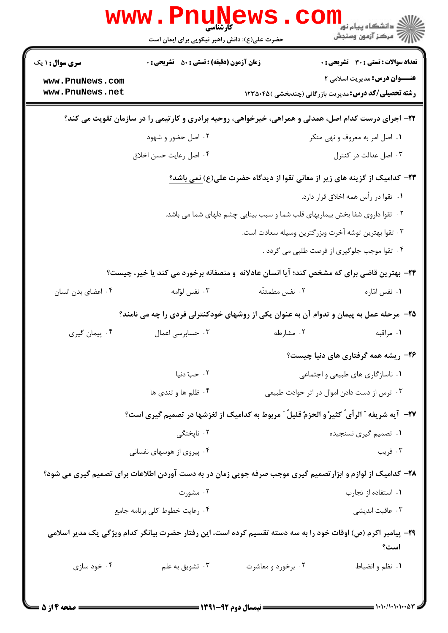|                                                                                                      | <b>www . Pn</b><br>کارشناسی<br>حضرت علی(ع): دانش راهبر نیکویی برای ایمان است |                    | ر دانشگاه پيام نور <mark>−</mark><br>ار <i>آمر</i> کز آزمون وسنجش                                                   |  |
|------------------------------------------------------------------------------------------------------|------------------------------------------------------------------------------|--------------------|---------------------------------------------------------------------------------------------------------------------|--|
| <b>سری سوال : ۱ یک</b>                                                                               | <b>زمان آزمون (دقیقه) : تستی : 50 ٪ تشریحی : 0</b>                           |                    | <b>تعداد سوالات : تستی : 30 ٪ تشریحی : 0</b>                                                                        |  |
| www.PnuNews.com<br>www.PnuNews.net                                                                   |                                                                              |                    | <b>عنـــوان درس:</b> مدیریت اسلامی ۲<br><b>رشته تحصیلی/کد درس:</b> مدیریت بازرگانی (چندبخشی )۱۲۳۵۰۴۵                |  |
| ۲۲- اجرای درست کدام اصل، همدلی و همراهی، خیرخواهی، روحیه برادری و کارتیمی را در سازمان تقویت می کند؟ |                                                                              |                    |                                                                                                                     |  |
|                                                                                                      | ۰۲ اصل حضور و شهود                                                           |                    | ۰۱ اصل امر به معروف و نهی منکر                                                                                      |  |
|                                                                                                      | ۰۴ اصل رعایت حسن اخلاق                                                       |                    | ۰۳ اصل عدالت در کنترل                                                                                               |  |
| <b>۲۳</b> – کدامیک از گزینه های زیر از معانی تقوا از دیدگاه حضرت علی(ع) <u>نمی باشد؟</u>             |                                                                              |                    |                                                                                                                     |  |
|                                                                                                      |                                                                              |                    | ۰۱ تقوا در رأس همه اخلاق قرار دارد.                                                                                 |  |
|                                                                                                      |                                                                              |                    | ۰۲ تقوا داروی شفا بخش بیماریهای قلب شما و سبب بینایی چشم دلهای شما می باشد.                                         |  |
|                                                                                                      |                                                                              |                    | ۰۳ تقوا بهترین توشه آخرت وبزرگترین وسیله سعادت است.                                                                 |  |
|                                                                                                      |                                                                              |                    | ۰۴ تقوا موجب جلوگیری از فرصت طلبی می گردد .                                                                         |  |
|                                                                                                      |                                                                              |                    | ۲۴- بهترین قاضی برای که مشخص کند؛ آیا انسان عادلانه و منصفانه برخورد می کند یا خیر، چیست؟                           |  |
| ۰۴ اعضای بدن انسان                                                                                   | ۰۳ نفس لوامه                                                                 | ۰۲ نفس مطمئنّه     | ۰۱ نفس امّاره                                                                                                       |  |
|                                                                                                      |                                                                              |                    | ۲۵- مرحله عمل به پیمان و تدوام آن به عنوان یکی از روشهای خودکنترلی فردی را چه می نامند؟                             |  |
| ۰۴ پیمان گیری                                                                                        | ۰۳ حسابرسی اعمال                                                             | ۰۲ مشارطه          | ٠١ مراقبه                                                                                                           |  |
|                                                                                                      |                                                                              |                    | ۲۶- ریشه همه گرفتاری های دنیا چیست؟                                                                                 |  |
|                                                                                                      | ۰۲ حبّ دنیا                                                                  |                    | ۰۱ ناسازگاری های طبیعی و اجتماعی                                                                                    |  |
|                                                                                                      | ۰۴ ظلم ها و تندی ها<br>۰۳ ترس از دست دادن اموال در اثر حوادث طبیعی           |                    |                                                                                                                     |  |
|                                                                                                      |                                                                              |                    | ٢٧-- آيه شريفه " الرأى ٌ كثيرً و الحزمٌ قليلٌ " مربوط به كداميك از لغزشها در تصميم گيرى است؟                        |  |
|                                                                                                      | ۰۲ ناپختگی                                                                   |                    | ٠١ تصميم گيري نسنجيده                                                                                               |  |
|                                                                                                      | ۰۴ پیروی از هوسهای نفسانی                                                    |                    | ۰۳ فريب                                                                                                             |  |
|                                                                                                      |                                                                              |                    | ۲۸- کدامیک از لوازم و ابزارتصمیم گیری موجب صرفه جویی زمان در به دست آوردن اطلاعات برای تصمیم گیری می شود؟           |  |
|                                                                                                      | ۰۲ مشورت                                                                     |                    | ۰۱ استفاده از تجارب                                                                                                 |  |
|                                                                                                      | ۰۴ رعایت خطوط کلی برنامه جامع                                                |                    | ۰۳ عاقبت اندیشی                                                                                                     |  |
|                                                                                                      |                                                                              |                    | ۲۹- پیامبر اکرم (ص) اوقات خود را به سه دسته تقسیم کرده است، این رفتار حضرت بیانگر کدام ویژگی یک مدیر اسلامی<br>است؟ |  |
| ۰۴ خود سازی                                                                                          | ۰۳ تشويق به علم                                                              | ۰۲ برخورد و معاشرت | ٠١ نظم و انضباط                                                                                                     |  |